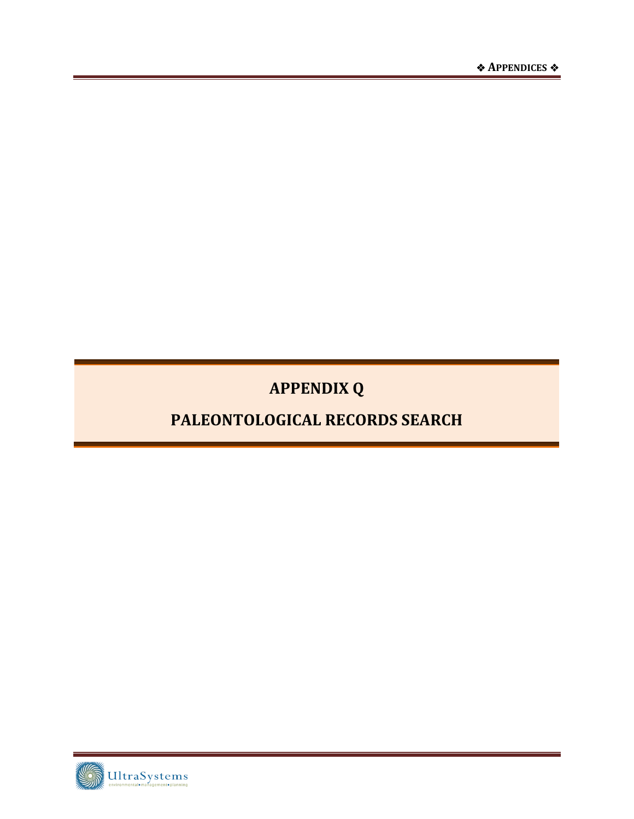**APPENDIX Q** 

## PALEONTOLOGICAL RECORDS SEARCH

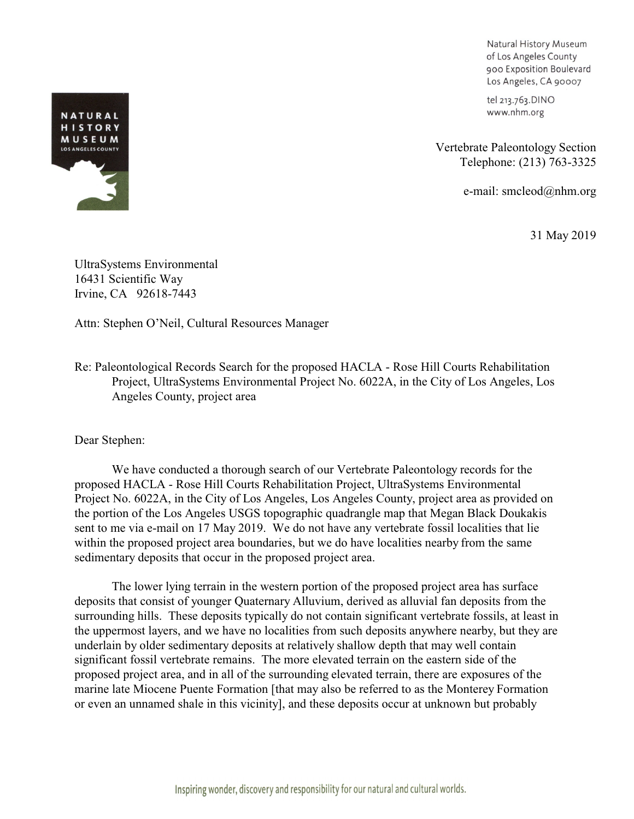Natural History Museum of Los Angeles County 900 Exposition Boulevard Los Angeles, CA 90007

tel 213.763.DINO www.nhm.org

Vertebrate Paleontology Section Telephone: (213) 763-3325

e-mail: smcleod@nhm.org

31 May 2019



UltraSystems Environmental 16431 Scientific Way Irvine, CA 92618-7443

Attn: Stephen O'Neil, Cultural Resources Manager

Re: Paleontological Records Search for the proposed HACLA - Rose Hill Courts Rehabilitation Project, UltraSystems Environmental Project No. 6022A, in the City of Los Angeles, Los Angeles County, project area

Dear Stephen:

We have conducted a thorough search of our Vertebrate Paleontology records for the proposed HACLA - Rose Hill Courts Rehabilitation Project, UltraSystems Environmental Project No. 6022A, in the City of Los Angeles, Los Angeles County, project area as provided on the portion of the Los Angeles USGS topographic quadrangle map that Megan Black Doukakis sent to me via e-mail on 17 May 2019. We do not have any vertebrate fossil localities that lie within the proposed project area boundaries, but we do have localities nearby from the same sedimentary deposits that occur in the proposed project area.

The lower lying terrain in the western portion of the proposed project area has surface deposits that consist of younger Quaternary Alluvium, derived as alluvial fan deposits from the surrounding hills. These deposits typically do not contain significant vertebrate fossils, at least in the uppermost layers, and we have no localities from such deposits anywhere nearby, but they are underlain by older sedimentary deposits at relatively shallow depth that may well contain significant fossil vertebrate remains. The more elevated terrain on the eastern side of the proposed project area, and in all of the surrounding elevated terrain, there are exposures of the marine late Miocene Puente Formation [that may also be referred to as the Monterey Formation or even an unnamed shale in this vicinity], and these deposits occur at unknown but probably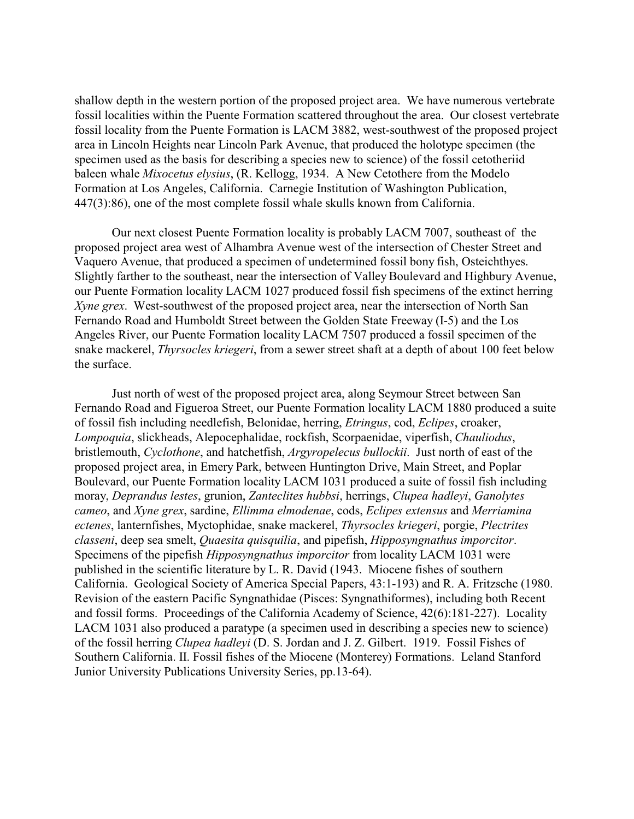shallow depth in the western portion of the proposed project area. We have numerous vertebrate fossil localities within the Puente Formation scattered throughout the area. Our closest vertebrate fossil locality from the Puente Formation is LACM 3882, west-southwest of the proposed project area in Lincoln Heights near Lincoln Park Avenue, that produced the holotype specimen (the specimen used as the basis for describing a species new to science) of the fossil cetotheriid baleen whale *Mixocetus elysius*, (R. Kellogg, 1934. A New Cetothere from the Modelo Formation at Los Angeles, California. Carnegie Institution of Washington Publication, 447(3):86), one of the most complete fossil whale skulls known from California.

Our next closest Puente Formation locality is probably LACM 7007, southeast of the proposed project area west of Alhambra Avenue west of the intersection of Chester Street and Vaquero Avenue, that produced a specimen of undetermined fossil bony fish, Osteichthyes. Slightly farther to the southeast, near the intersection of Valley Boulevard and Highbury Avenue, our Puente Formation locality LACM 1027 produced fossil fish specimens of the extinct herring *Xyne grex*. West-southwest of the proposed project area, near the intersection of North San Fernando Road and Humboldt Street between the Golden State Freeway (I-5) and the Los Angeles River, our Puente Formation locality LACM 7507 produced a fossil specimen of the snake mackerel, *Thyrsocles kriegeri*, from a sewer street shaft at a depth of about 100 feet below the surface.

Just north of west of the proposed project area, along Seymour Street between San Fernando Road and Figueroa Street, our Puente Formation locality LACM 1880 produced a suite of fossil fish including needlefish, Belonidae, herring, *Etringus*, cod, *Eclipes*, croaker, *Lompoquia*, slickheads, Alepocephalidae, rockfish, Scorpaenidae, viperfish, *Chauliodus*, bristlemouth, *Cyclothone*, and hatchetfish, *Argyropelecus bullockii*. Just north of east of the proposed project area, in Emery Park, between Huntington Drive, Main Street, and Poplar Boulevard, our Puente Formation locality LACM 1031 produced a suite of fossil fish including moray, *Deprandus lestes*, grunion, *Zanteclites hubbsi*, herrings, *Clupea hadleyi*, *Ganolytes cameo*, and *Xyne grex*, sardine, *Ellimma elmodenae*, cods, *Eclipes extensus* and *Merriamina ectenes*, lanternfishes, Myctophidae, snake mackerel, *Thyrsocles kriegeri*, porgie, *Plectrites classeni*, deep sea smelt, *Quaesita quisquilia*, and pipefish, *Hipposyngnathus imporcitor*. Specimens of the pipefish *Hipposyngnathus imporcitor* from locality LACM 1031 were published in the scientific literature by L. R. David (1943. Miocene fishes of southern California. Geological Society of America Special Papers, 43:1-193) and R. A. Fritzsche (1980. Revision of the eastern Pacific Syngnathidae (Pisces: Syngnathiformes), including both Recent and fossil forms. Proceedings of the California Academy of Science, 42(6):181-227). Locality LACM 1031 also produced a paratype (a specimen used in describing a species new to science) of the fossil herring *Clupea hadleyi* (D. S. Jordan and J. Z. Gilbert. 1919. Fossil Fishes of Southern California. II. Fossil fishes of the Miocene (Monterey) Formations. Leland Stanford Junior University Publications University Series, pp.13-64).